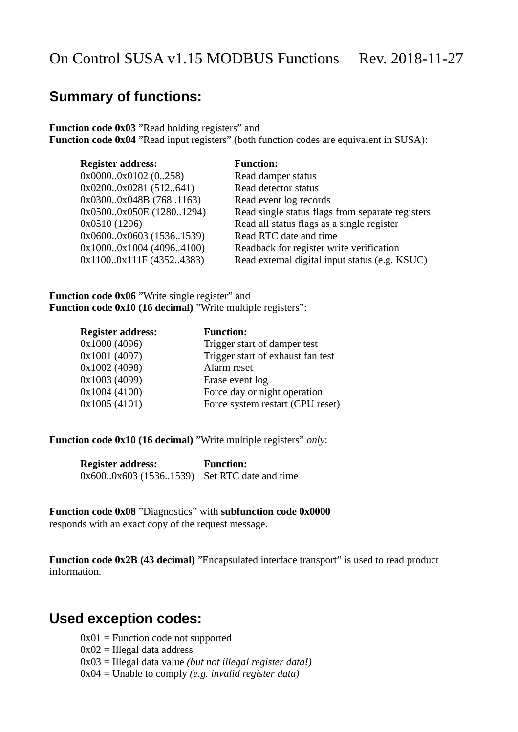## **Summary of functions:**

**Function code 0x03** "Read holding registers" and **Function code 0x04** "Read input registers" (both function codes are equivalent in SUSA):

| <b>Register address:</b> | <b>Function:</b>                                 |
|--------------------------|--------------------------------------------------|
| $0x00000x0102$ (0258)    | Read damper status                               |
| 0x02000x0281 (512641)    | Read detector status                             |
| 0x03000x048B (7681163)   | Read event log records                           |
| 0x05000x050E (12801294)  | Read single status flags from separate registers |
| 0x0510 (1296)            | Read all status flags as a single register       |
| 0x06000x0603 (15361539)  | Read RTC date and time                           |
| 0x10000x1004 (40964100)  | Readback for register write verification         |
| 0x11000x111F (43524383)  | Read external digital input status (e.g. KSUC)   |

Function code 0x06 "Write single register" and **Function code 0x10 (16 decimal)** "Write multiple registers":

| <b>Register address:</b> | <b>Function:</b>                  |
|--------------------------|-----------------------------------|
| 0x1000 (4096)            | Trigger start of damper test      |
| 0x1001 (4097)            | Trigger start of exhaust fan test |
| 0x1002 (4098)            | Alarm reset                       |
| 0x1003 (4099)            | Erase event log                   |
| 0x1004 (4100)            | Force day or night operation      |
| 0x1005(4101)             | Force system restart (CPU reset)  |
|                          |                                   |

**Function code 0x10 (16 decimal)** "Write multiple registers" *only*:

| <b>Register address:</b> |  | <b>Function:</b>                            |  |
|--------------------------|--|---------------------------------------------|--|
|                          |  | 0x6000x603 (15361539) Set RTC date and time |  |

**Function code 0x08** "Diagnostics" with **subfunction code 0x0000** responds with an exact copy of the request message.

Function code 0x2B (43 decimal) "Encapsulated interface transport" is used to read product information.

### **Used exception codes:**

 $0x01$  = Function code not supported

- $0x02$  = Illegal data address
- 0x03 = Illegal data value *(but not illegal register data!)*
- 0x04 = Unable to comply *(e.g. invalid register data)*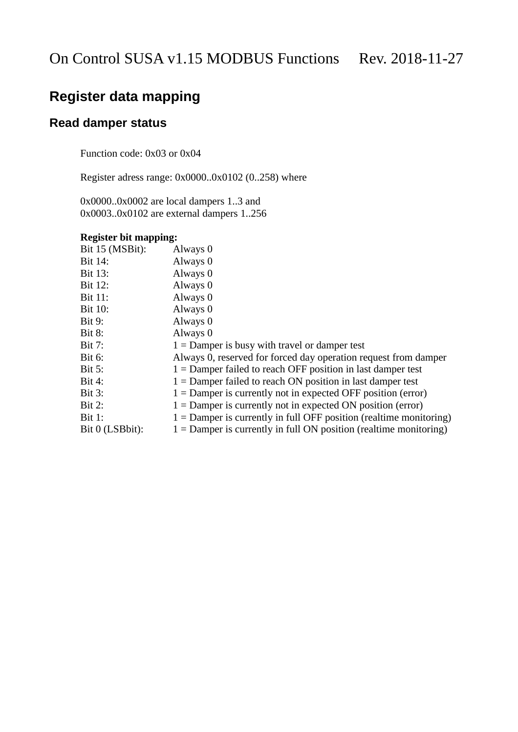## **Register data mapping**

### **Read damper status**

Function code: 0x03 or 0x04

Register adress range: 0x0000..0x0102 (0..258) where

0x0000..0x0002 are local dampers 1..3 and 0x0003..0x0102 are external dampers 1..256

#### **Register bit mapping:**

| Bit 15 (MSBit): | Always 0                                                             |
|-----------------|----------------------------------------------------------------------|
| Bit 14:         | Always 0                                                             |
| <b>Bit 13:</b>  | Always 0                                                             |
| Bit 12:         | Always 0                                                             |
| <b>Bit 11:</b>  | Always 0                                                             |
| <b>Bit 10:</b>  | Always 0                                                             |
| <b>Bit 9:</b>   | Always 0                                                             |
| <b>Bit 8:</b>   | Always 0                                                             |
| <b>Bit 7:</b>   | $1 =$ Damper is busy with travel or damper test                      |
| <b>Bit 6:</b>   | Always 0, reserved for forced day operation request from damper      |
| <b>Bit 5:</b>   | $1 =$ Damper failed to reach OFF position in last damper test        |
| <b>Bit 4:</b>   | $1 =$ Damper failed to reach ON position in last damper test         |
| <b>Bit 3:</b>   | $1 =$ Damper is currently not in expected OFF position (error)       |
| <b>Bit 2:</b>   | $1 =$ Damper is currently not in expected ON position (error)        |
| <b>Bit 1:</b>   | $1 =$ Damper is currently in full OFF position (realtime monitoring) |
| Bit 0 (LSBbit): | $1 =$ Damper is currently in full ON position (realtime monitoring)  |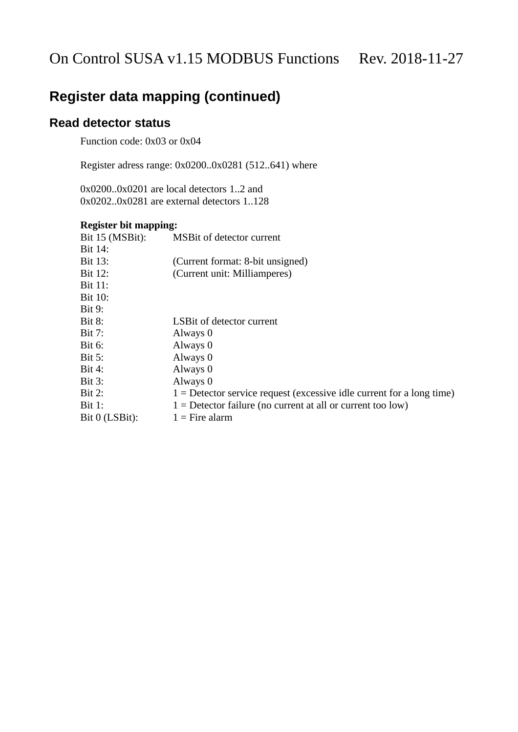### **Read detector status**

Function code: 0x03 or 0x04

Register adress range: 0x0200..0x0281 (512..641) where

0x0200..0x0201 are local detectors 1..2 and 0x0202..0x0281 are external detectors 1..128

#### **Register bit mapping:**

| Bit 15 (MSBit): | MSBit of detector current                                               |
|-----------------|-------------------------------------------------------------------------|
| Bit 14:         |                                                                         |
| <b>Bit 13:</b>  | (Current format: 8-bit unsigned)                                        |
| Bit 12:         | (Current unit: Milliamperes)                                            |
| <b>Bit 11:</b>  |                                                                         |
| <b>Bit 10:</b>  |                                                                         |
| <b>Bit 9:</b>   |                                                                         |
| <b>Bit 8:</b>   | LSBit of detector current                                               |
| <b>Bit 7:</b>   | Always 0                                                                |
| <b>Bit 6:</b>   | Always 0                                                                |
| <b>Bit 5:</b>   | Always 0                                                                |
| <b>Bit 4:</b>   | Always 0                                                                |
| <b>Bit 3:</b>   | Always 0                                                                |
| <b>Bit 2:</b>   | $1 =$ Detector service request (excessive idle current for a long time) |
| <b>Bit 1:</b>   | $1 =$ Detector failure (no current at all or current too low)           |
| Bit 0 (LSBit):  | $1 =$ Fire alarm                                                        |
|                 |                                                                         |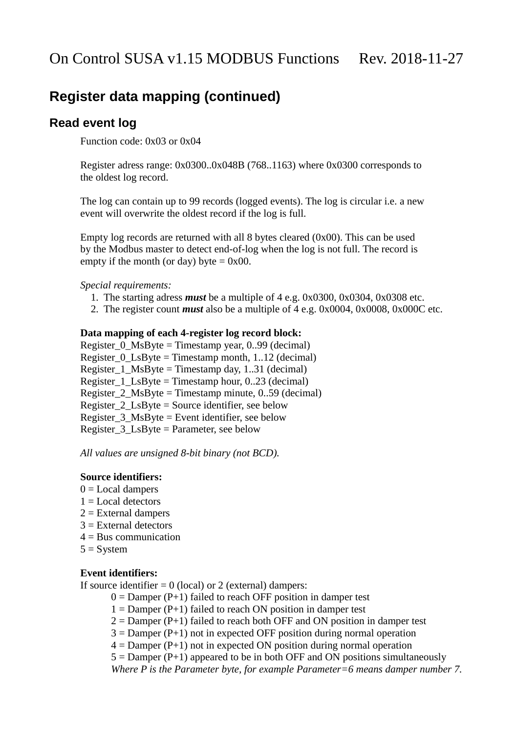### **Read event log**

Function code: 0x03 or 0x04

Register adress range: 0x0300..0x048B (768..1163) where 0x0300 corresponds to the oldest log record.

The log can contain up to 99 records (logged events). The log is circular i.e. a new event will overwrite the oldest record if the log is full.

Empty log records are returned with all 8 bytes cleared (0x00). This can be used by the Modbus master to detect end-of-log when the log is not full. The record is empty if the month (or day) byte  $= 0x00$ .

#### *Special requirements:*

- 1. The starting adress *must* be a multiple of 4 e.g. 0x0300, 0x0304, 0x0308 etc.
- 2. The register count *must* also be a multiple of 4 e.g. 0x0004, 0x0008, 0x000C etc.

#### **Data mapping of each 4-register log record block:**

Register\_0\_MsByte = Timestamp year, 0..99 (decimal) Register\_0\_LsByte = Timestamp month, 1..12 (decimal) Register  $1$  MsByte = Timestamp day, 1..31 (decimal) Register\_1\_LsByte = Timestamp hour, 0..23 (decimal) Register 2  $MsByte = Timestamp minute, 0.59 (decimal)$ Register\_2\_LsByte = Source identifier, see below Register\_3\_MsByte = Event identifier, see below Register  $3$  LsByte = Parameter, see below

*All values are unsigned 8-bit binary (not BCD).*

#### **Source identifiers:**

- $0 =$  Local dampers
- $1 =$ Local detectors
- 2 = External dampers
- $3$  = External detectors
- 4 = Bus communication
- $5 =$  System

#### **Event identifiers:**

If source identifier  $= 0$  (local) or 2 (external) dampers:

- $0 =$  Damper (P+1) failed to reach OFF position in damper test
- $1 =$  Damper (P+1) failed to reach ON position in damper test
- $2 =$  Damper (P+1) failed to reach both OFF and ON position in damper test
- $3 =$  Damper (P+1) not in expected OFF position during normal operation
- $4 =$  Damper (P+1) not in expected ON position during normal operation

 $5 =$  Damper (P+1) appeared to be in both OFF and ON positions simultaneously *Where P is the Parameter byte, for example Parameter=6 means damper number 7.*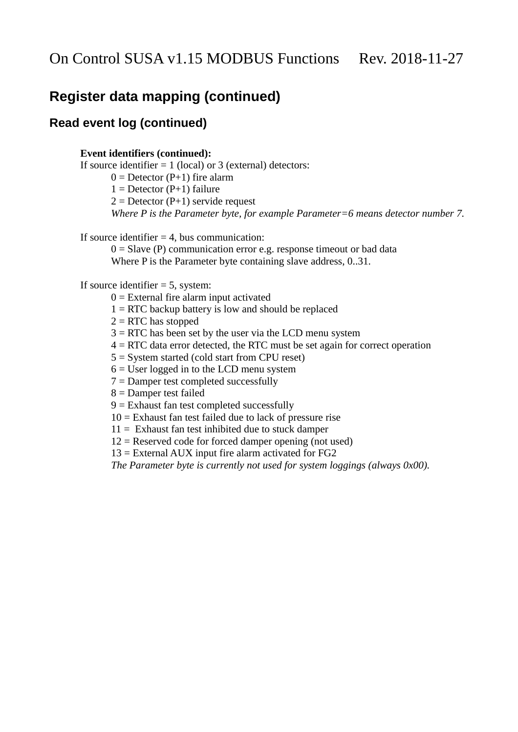### **Read event log (continued)**

#### **Event identifiers (continued):**

If source identifier  $= 1$  (local) or 3 (external) detectors:

 $0 =$  Detector (P+1) fire alarm

 $1 =$  Detector (P+1) failure

 $2 =$  Detector (P+1) servide request

*Where P is the Parameter byte, for example Parameter=6 means detector number 7.*

If source identifier  $= 4$ , bus communication:

 $0 =$  Slave (P) communication error e.g. response timeout or bad data Where P is the Parameter byte containing slave address, 0..31.

#### If source identifier = 5, system:

- $0 =$  External fire alarm input activated
- 1 = RTC backup battery is low and should be replaced
- 2 = RTC has stopped
- 3 = RTC has been set by the user via the LCD menu system
- 4 = RTC data error detected, the RTC must be set again for correct operation
- 5 = System started (cold start from CPU reset)
- $6 =$  User logged in to the LCD menu system
- 7 = Damper test completed successfully
- 8 = Damper test failed
- 9 = Exhaust fan test completed successfully
- 10 = Exhaust fan test failed due to lack of pressure rise
- $11 =$  Exhaust fan test inhibited due to stuck damper
- 12 = Reserved code for forced damper opening (not used)
- 13 = External AUX input fire alarm activated for FG2

*The Parameter byte is currently not used for system loggings (always 0x00).*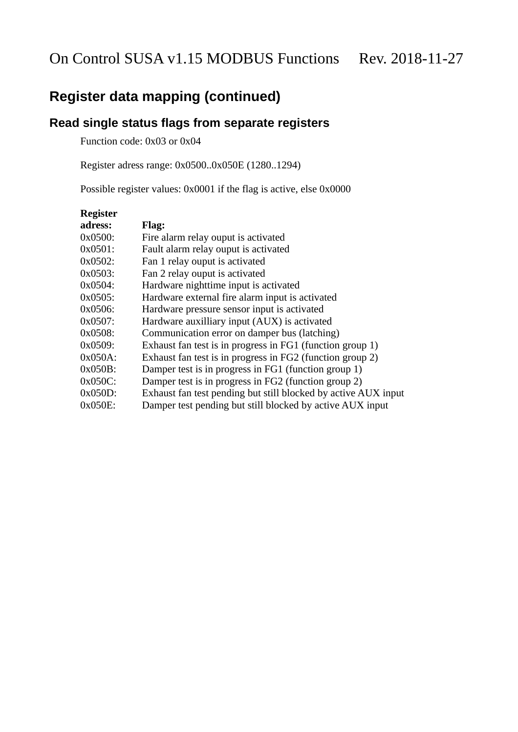### **Read single status flags from separate registers**

Function code: 0x03 or 0x04

Register adress range: 0x0500..0x050E (1280..1294)

Possible register values: 0x0001 if the flag is active, else 0x0000

| <b>Register</b> |                                                                |
|-----------------|----------------------------------------------------------------|
| adress:         | Flag:                                                          |
| 0x0500:         | Fire alarm relay ouput is activated                            |
| 0x0501:         | Fault alarm relay ouput is activated                           |
| 0x0502:         | Fan 1 relay ouput is activated                                 |
| 0x0503:         | Fan 2 relay ouput is activated                                 |
| 0x0504:         | Hardware nighttime input is activated                          |
| 0x0505:         | Hardware external fire alarm input is activated                |
| 0x0506:         | Hardware pressure sensor input is activated                    |
| 0x0507:         | Hardware auxilliary input (AUX) is activated                   |
| 0x0508:         | Communication error on damper bus (latching)                   |
| 0x0509:         | Exhaust fan test is in progress in FG1 (function group 1)      |
| $0x050A$ :      | Exhaust fan test is in progress in FG2 (function group 2)      |
| $0x050B$ :      | Damper test is in progress in FG1 (function group 1)           |
| $0x050C$ :      | Damper test is in progress in FG2 (function group 2)           |
| $0x050D$ :      | Exhaust fan test pending but still blocked by active AUX input |
| $0x050E$ :      | Damper test pending but still blocked by active AUX input      |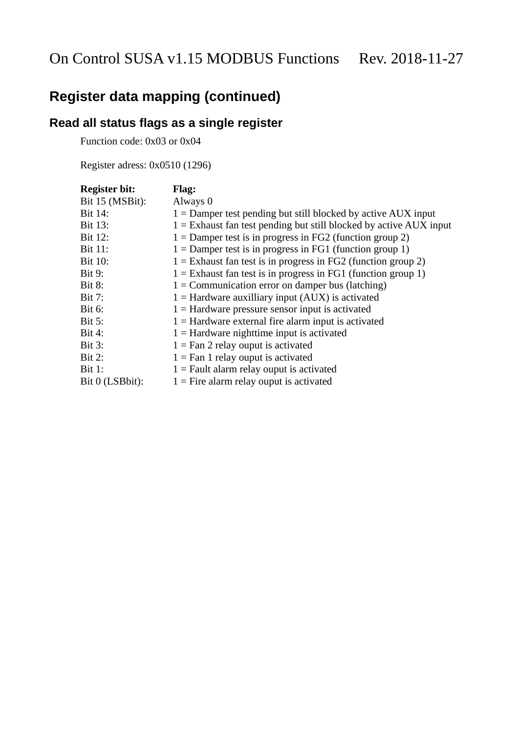## **Read all status flags as a single register**

Function code: 0x03 or 0x04

Register adress: 0x0510 (1296)

| <b>Register bit:</b> | Flag:                                                                |
|----------------------|----------------------------------------------------------------------|
| Bit 15 (MSBit):      | Always 0                                                             |
| Bit 14:              | $1 =$ Damper test pending but still blocked by active AUX input      |
| Bit 13:              | $1 =$ Exhaust fan test pending but still blocked by active AUX input |
| Bit 12:              | $1 =$ Damper test is in progress in FG2 (function group 2)           |
| <b>Bit 11:</b>       | $1 =$ Damper test is in progress in FG1 (function group 1)           |
| <b>Bit 10:</b>       | $1 =$ Exhaust fan test is in progress in FG2 (function group 2)      |
| <b>Bit 9:</b>        | $1 =$ Exhaust fan test is in progress in FG1 (function group 1)      |
| <b>Bit 8:</b>        | $1 =$ Communication error on damper bus (latching)                   |
| <b>Bit 7:</b>        | $1 =$ Hardware auxilliary input (AUX) is activated                   |
| <b>Bit 6:</b>        | $1 =$ Hardware pressure sensor input is activated                    |
| <b>Bit 5:</b>        | $1 =$ Hardware external fire alarm input is activated                |
| <b>Bit 4:</b>        | $1 =$ Hardware nighttime input is activated                          |
| <b>Bit 3:</b>        | $1 =$ Fan 2 relay ouput is activated                                 |
| <b>Bit 2:</b>        | $1 =$ Fan 1 relay ouput is activated                                 |
| <b>Bit 1:</b>        | $1 =$ Fault alarm relay ouput is activated                           |
| Bit 0 (LSBbit):      | $1 =$ Fire alarm relay ouput is activated                            |
|                      |                                                                      |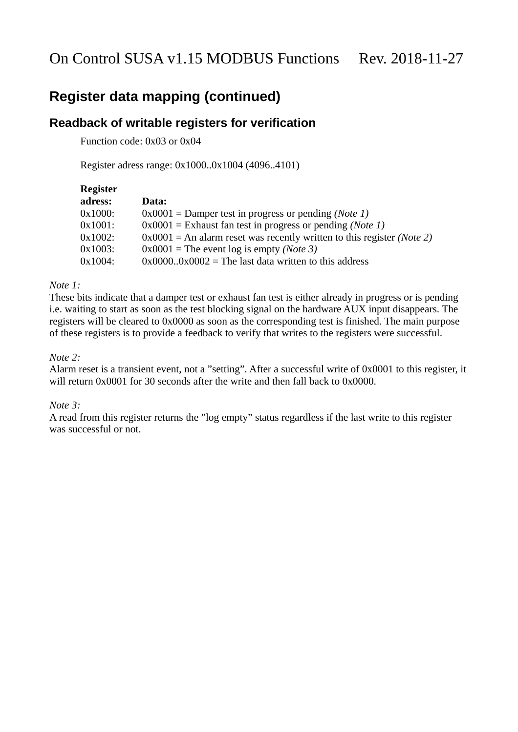### **Readback of writable registers for verification**

Function code: 0x03 or 0x04

Register adress range: 0x1000..0x1004 (4096..4101)

| Register |                                                                          |
|----------|--------------------------------------------------------------------------|
| adress:  | Data:                                                                    |
| 0x1000:  | $0x0001$ = Damper test in progress or pending (Note 1)                   |
| 0x1001:  | $0x0001$ = Exhaust fan test in progress or pending (Note 1)              |
| 0x1002:  | $0x0001$ = An alarm reset was recently written to this register (Note 2) |
| 0x1003:  | $0x0001$ = The event log is empty (Note 3)                               |
| 0x1004:  | $0x00000x0002$ = The last data written to this address                   |

#### *Note 1:*

These bits indicate that a damper test or exhaust fan test is either already in progress or is pending i.e. waiting to start as soon as the test blocking signal on the hardware AUX input disappears. The registers will be cleared to 0x0000 as soon as the corresponding test is finished. The main purpose of these registers is to provide a feedback to verify that writes to the registers were successful.

#### *Note 2:*

Alarm reset is a transient event, not a "setting". After a successful write of 0x0001 to this register, it will return 0x0001 for 30 seconds after the write and then fall back to 0x0000.

#### *Note 3:*

A read from this register returns the "log empty" status regardless if the last write to this register was successful or not.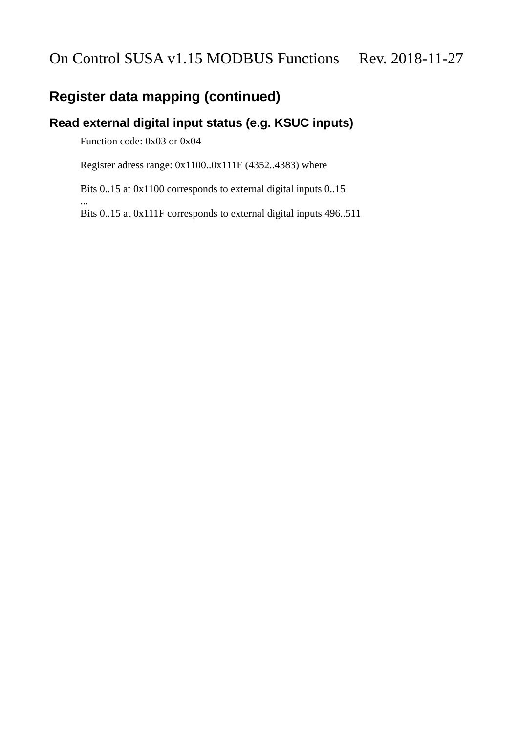### **Read external digital input status (e.g. KSUC inputs)**

Function code: 0x03 or 0x04

...

Register adress range: 0x1100..0x111F (4352..4383) where

Bits 0..15 at 0x1100 corresponds to external digital inputs 0..15

Bits 0..15 at 0x111F corresponds to external digital inputs 496..511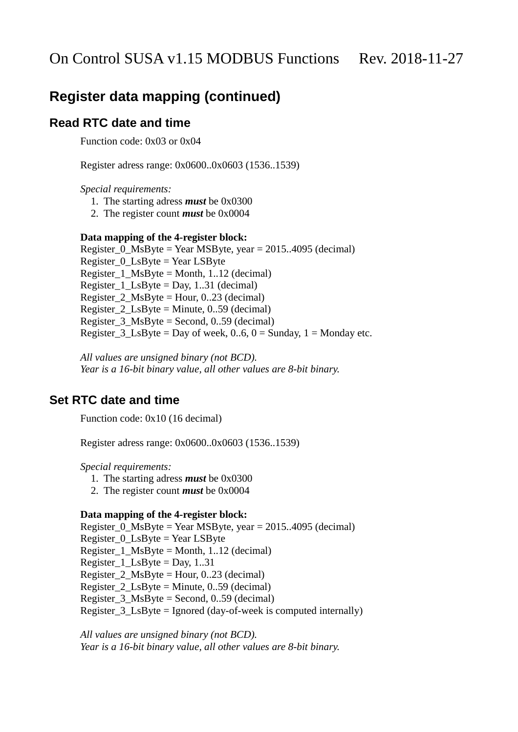### **Read RTC date and time**

Function code: 0x03 or 0x04

Register adress range: 0x0600..0x0603 (1536..1539)

*Special requirements:*

- 1. The starting adress *must* be 0x0300
- 2. The register count *must* be 0x0004

#### **Data mapping of the 4-register block:**

Register\_0\_MsByte = Year MSByte, year = 2015..4095 (decimal) Register\_0\_LsByte = Year LSByte Register  $1$  MsByte = Month, 1..12 (decimal) Register\_1\_LsByte = Day,  $1..31$  (decimal) Register\_2\_MsByte = Hour, 0..23 (decimal) Register  $2$  LsByte = Minute, 0..59 (decimal) Register  $3$  MsByte = Second, 0..59 (decimal) Register  $3$  LsByte = Day of week, 0..6, 0 = Sunday, 1 = Monday etc.

*All values are unsigned binary (not BCD). Year is a 16-bit binary value, all other values are 8-bit binary.*

### **Set RTC date and time**

Function code: 0x10 (16 decimal)

Register adress range: 0x0600..0x0603 (1536..1539)

*Special requirements:*

- 1. The starting adress *must* be 0x0300
- 2. The register count *must* be 0x0004

#### **Data mapping of the 4-register block:**

Register\_0\_MsByte = Year MSByte, year = 2015..4095 (decimal) Register\_0\_LsByte = Year LSByte Register  $1$  MsByte = Month, 1..12 (decimal) Register  $1$  LsByte = Day, 1..31 Register\_2\_MsByte = Hour, 0..23 (decimal) Register\_2\_LsByte = Minute, 0..59 (decimal) Register\_3\_MsByte = Second, 0..59 (decimal) Register\_3\_LsByte = Ignored (day-of-week is computed internally)

*All values are unsigned binary (not BCD). Year is a 16-bit binary value, all other values are 8-bit binary.*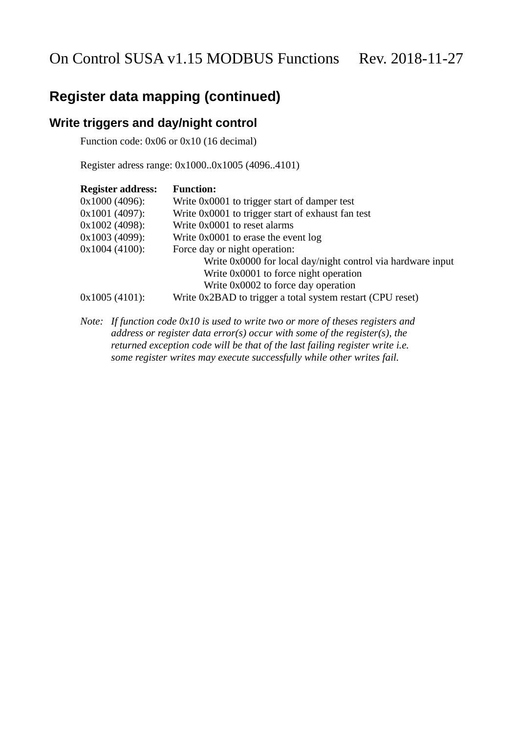### **Write triggers and day/night control**

Function code: 0x06 or 0x10 (16 decimal)

Register adress range: 0x1000..0x1005 (4096..4101)

| <b>Register address:</b> | <b>Function:</b>                                            |
|--------------------------|-------------------------------------------------------------|
| $0x1000(4096)$ :         | Write 0x0001 to trigger start of damper test                |
| $0x1001(4097)$ :         | Write 0x0001 to trigger start of exhaust fan test           |
| $0x1002$ (4098):         | Write 0x0001 to reset alarms                                |
| 0x1003 (4099):           | Write 0x0001 to erase the event log                         |
| $0x1004(4100)$ :         | Force day or night operation:                               |
|                          | Write 0x0000 for local day/night control via hardware input |
|                          | Write 0x0001 to force night operation                       |
|                          | Write 0x0002 to force day operation                         |
| $0x1005(4101)$ :         | Write 0x2BAD to trigger a total system restart (CPU reset)  |

*Note: If function code 0x10 is used to write two or more of theses registers and address or register data error(s) occur with some of the register(s), the returned exception code will be that of the last failing register write i.e. some register writes may execute successfully while other writes fail.*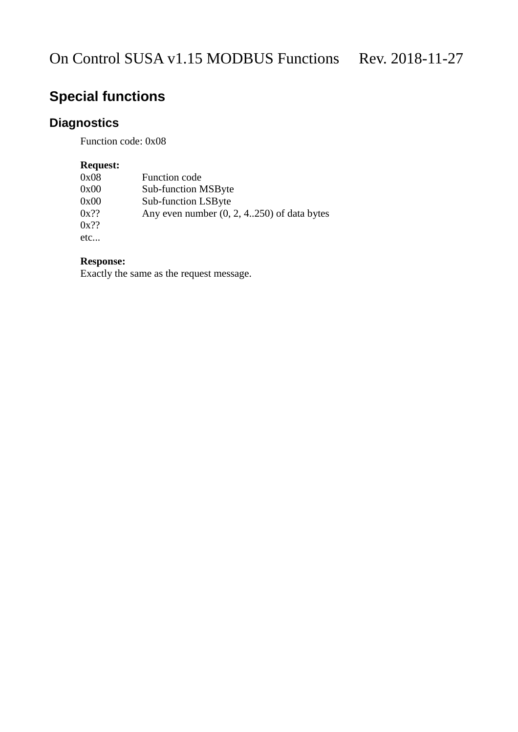# **Special functions**

## **Diagnostics**

Function code: 0x08

### **Request:**

| 0x08    | <b>Function code</b>                         |
|---------|----------------------------------------------|
| 0x00    | <b>Sub-function MSByte</b>                   |
| 0x00    | Sub-function LSByte                          |
| $0x$ ?? | Any even number $(0, 2, 4250)$ of data bytes |
| $0x$ ?? |                                              |
| etc     |                                              |

### **Response:**

Exactly the same as the request message.